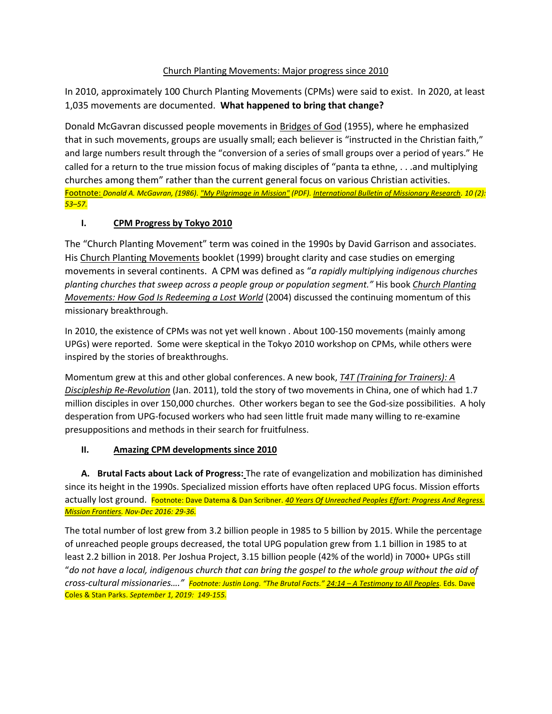## Church Planting Movements: Major progress since 2010

In 2010, approximately 100 Church Planting Movements (CPMs) were said to exist. In 2020, at least 1,035 movements are documented. **What happened to bring that change?**

Donald McGavran discussed people movements in Bridges of God (1955), where he emphasized that in such movements, groups are usually small; each believer is "instructed in the Christian faith," and large numbers result through the "conversion of a series of small groups over a period of years." He called for a return to the true mission focus of making disciples of "panta ta ethne, . . .and multiplying churches among them" rather than the current general focus on various Christian activities. Footnote: *Donald A. McGavran, (1986)[. "My Pilgrimage in Mission"](https://www.internationalbulletin.org/issues/1986-02/1986-02-053-mcgavran.pdf) (PDF)[. International Bulletin of Missionary Research.](https://en.wikipedia.org/wiki/International_Bulletin_of_Missionary_Research) 10 (2): 53–57.*

## **I. CPM Progress by Tokyo 2010**

The "Church Planting Movement" term was coined in the 1990s by David Garrison and associates. His Church Planting Movements booklet (1999) brought clarity and case studies on emerging movements in several continents. A CPM was defined as "*a rapidly multiplying indigenous churches planting churches that sweep across a people group or population segment."* His book *Church Planting Movements: How God Is Redeeming a Lost World* (2004) discussed the continuing momentum of this missionary breakthrough.

In 2010, the existence of CPMs was not yet well known . About 100-150 movements (mainly among UPGs) were reported. Some were skeptical in the Tokyo 2010 workshop on CPMs, while others were inspired by the stories of breakthroughs.

Momentum grew at this and other global conferences. A new book, *T4T (Training for Trainers): A Discipleship Re-Revolution* (Jan. 2011), told the story of two movements in China, one of which had 1.7 million disciples in over 150,000 churches. Other workers began to see the God-size possibilities. A holy desperation from UPG-focused workers who had seen little fruit made many willing to re-examine presuppositions and methods in their search for fruitfulness.

## **II. Amazing CPM developments since 2010**

**A. Brutal Facts about Lack of Progress:** The rate of evangelization and mobilization has diminished since its height in the 1990s. Specialized mission efforts have often replaced UPG focus. Mission efforts actually lost ground. Footnote: Dave Datema & Dan Scribner. *40 Years Of Unreached Peoples Effort: Progress And Regress. Mission Frontiers. Nov-Dec 2016: 29-36.*

The total number of lost grew from 3.2 billion people in 1985 to 5 billion by 2015. While the percentage of unreached people groups decreased, the total UPG population grew from 1.1 billion in 1985 to at least 2.2 billion in 2018. Per Joshua Project, 3.15 billion people (42% of the world) in 7000+ UPGs still "*do not have a local, indigenous church that can bring the gospel to the whole group without the aid of cross-cultural missionaries…." Footnote: Justin Long. "The Brutal Facts." 24:14 – A Testimony to All Peoples.* Eds. Dave Coles & Stan Parks. *September 1, 2019: 149-155.*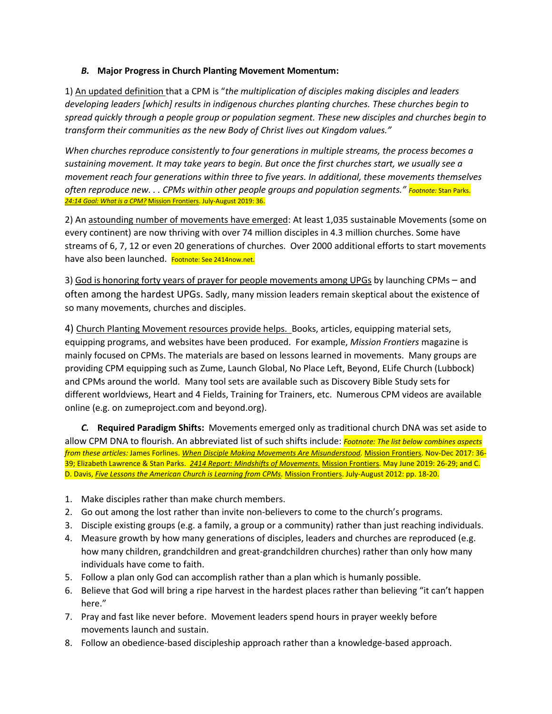#### *B.* **Major Progress in Church Planting Movement Momentum:**

1) An updated definition that a CPM is "*the multiplication of disciples making disciples and leaders developing leaders [which] results in indigenous churches planting churches. These churches begin to spread quickly through a people group or population segment. These new disciples and churches begin to transform their communities as the new Body of Christ lives out Kingdom values."* 

*When churches reproduce consistently to four generations in multiple streams, the process becomes a sustaining movement. It may take years to begin. But once the first churches start, we usually see a movement reach four generations within three to five years. In additional, these movements themselves often reproduce new. . . CPMs within other people groups and population segments." Footnote:* Stan Parks. *24:14 Goal: What is a CPM?* Mission Frontiers. July-August 2019: 36.

2) An astounding number of movements have emerged: At least 1,035 sustainable Movements (some on every continent) are now thriving with over 74 million disciples in 4.3 million churches. Some have streams of 6, 7, 12 or even 20 generations of churches. Over 2000 additional efforts to start movements have also been launched. Footnote: See 2414now.net.

3) God is honoring forty years of prayer for people movements among UPGs by launching CPMs – and often among the hardest UPGs. Sadly, many mission leaders remain skeptical about the existence of so many movements, churches and disciples.

4) Church Planting Movement resources provide helps. Books, articles, equipping material sets, equipping programs, and websites have been produced. For example, *Mission Frontiers* magazine is mainly focused on CPMs. The materials are based on lessons learned in movements. Many groups are providing CPM equipping such as Zume, Launch Global, No Place Left, Beyond, ELife Church (Lubbock) and CPMs around the world. Many tool sets are available such as Discovery Bible Study sets for different worldviews, Heart and 4 Fields, Training for Trainers, etc. Numerous CPM videos are available online (e.g. on zumeproject.com and beyond.org).

*C.* **Required Paradigm Shifts:** Movements emerged only as traditional church DNA was set aside to allow CPM DNA to flourish. An abbreviated list of such shifts include: *Footnote: The list below combines aspects from these articles:* James Forlines. *When Disciple Making Movements Are Misunderstood.* Mission Frontiers. Nov-Dec 2017: 36- 39; Elizabeth Lawrence & Stan Parks. *2414 Report: Mindshifts of Movements.* Mission Frontiers. May June 2019: 26-29; and C. D. Davis, *Five Lessons the American Church is Learning from CPMs.* Mission Frontiers. July-August 2012: pp. 18-20.

- 1. Make disciples rather than make church members.
- 2. Go out among the lost rather than invite non-believers to come to the church's programs.
- 3. Disciple existing groups (e.g. a family, a group or a community) rather than just reaching individuals.
- 4. Measure growth by how many generations of disciples, leaders and churches are reproduced (e.g. how many children, grandchildren and great-grandchildren churches) rather than only how many individuals have come to faith.
- 5. Follow a plan only God can accomplish rather than a plan which is humanly possible.
- 6. Believe that God will bring a ripe harvest in the hardest places rather than believing "it can't happen here."
- 7. Pray and fast like never before. Movement leaders spend hours in prayer weekly before movements launch and sustain.
- 8. Follow an obedience-based discipleship approach rather than a knowledge-based approach.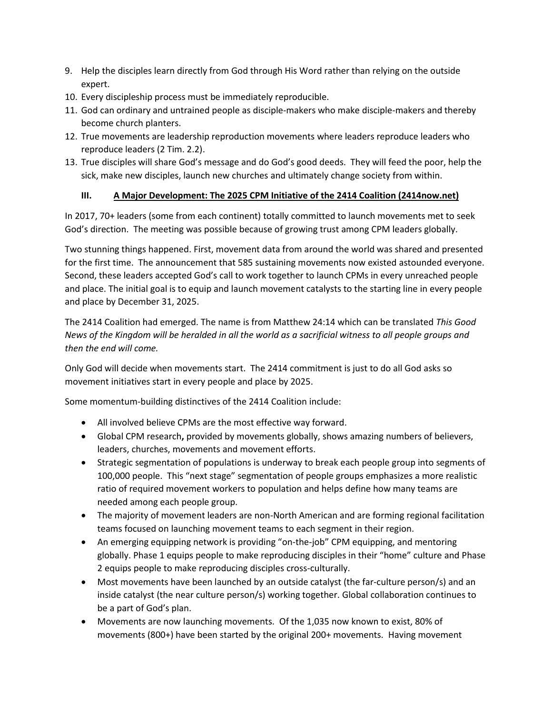- 9. Help the disciples learn directly from God through His Word rather than relying on the outside expert.
- 10. Every discipleship process must be immediately reproducible.
- 11. God can ordinary and untrained people as disciple-makers who make disciple-makers and thereby become church planters.
- 12. True movements are leadership reproduction movements where leaders reproduce leaders who reproduce leaders (2 Tim. 2.2).
- 13. True disciples will share God's message and do God's good deeds. They will feed the poor, help the sick, make new disciples, launch new churches and ultimately change society from within.

# **III. A Major Development: The 2025 CPM Initiative of the 2414 Coalition (2414now.net)**

In 2017, 70+ leaders (some from each continent) totally committed to launch movements met to seek God's direction. The meeting was possible because of growing trust among CPM leaders globally.

Two stunning things happened. First, movement data from around the world was shared and presented for the first time. The announcement that 585 sustaining movements now existed astounded everyone. Second, these leaders accepted God's call to work together to launch CPMs in every unreached people and place. The initial goal is to equip and launch movement catalysts to the starting line in every people and place by December 31, 2025.

The 2414 Coalition had emerged. The name is from Matthew 24:14 which can be translated *This Good News of the Kingdom will be heralded in all the world as a sacrificial witness to all people groups and then the end will come.* 

Only God will decide when movements start. The 2414 commitment is just to do all God asks so movement initiatives start in every people and place by 2025.

Some momentum-building distinctives of the 2414 Coalition include:

- All involved believe CPMs are the most effective way forward.
- Global CPM research**,** provided by movements globally, shows amazing numbers of believers, leaders, churches, movements and movement efforts.
- Strategic segmentation of populations is underway to break each people group into segments of 100,000 people. This "next stage" segmentation of people groups emphasizes a more realistic ratio of required movement workers to population and helps define how many teams are needed among each people group.
- The majority of movement leaders are non-North American and are forming regional facilitation teams focused on launching movement teams to each segment in their region.
- An emerging equipping network is providing "on-the-job" CPM equipping, and mentoring globally. Phase 1 equips people to make reproducing disciples in their "home" culture and Phase 2 equips people to make reproducing disciples cross-culturally.
- Most movements have been launched by an outside catalyst (the far-culture person/s) and an inside catalyst (the near culture person/s) working together. Global collaboration continues to be a part of God's plan.
- Movements are now launching movements. Of the 1,035 now known to exist, 80% of movements (800+) have been started by the original 200+ movements. Having movement